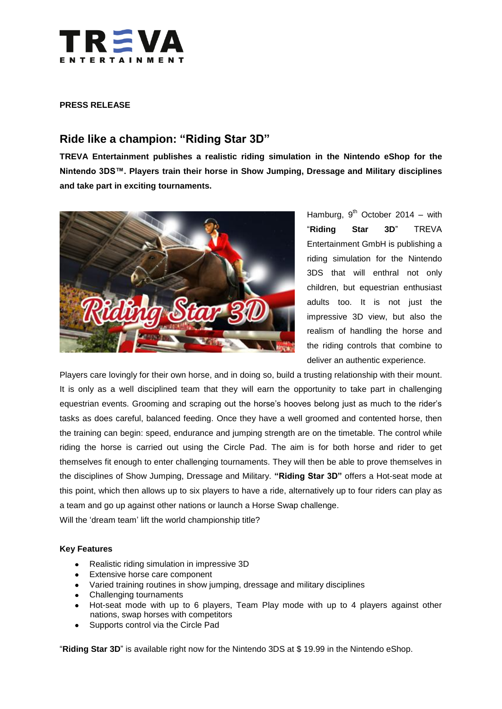

## **PRESS RELEASE**

# **Ride like a champion: "Riding Star 3D"**

**TREVA Entertainment publishes a realistic riding simulation in the Nintendo eShop for the Nintendo 3DS™. Players train their horse in Show Jumping, Dressage and Military disciplines and take part in exciting tournaments.**



Hamburg,  $9^{th}$  October 2014 – with "**Riding Star 3D**" TREVA Entertainment GmbH is publishing a riding simulation for the Nintendo 3DS that will enthral not only children, but equestrian enthusiast adults too. It is not just the impressive 3D view, but also the realism of handling the horse and the riding controls that combine to deliver an authentic experience.

Players care lovingly for their own horse, and in doing so, build a trusting relationship with their mount. It is only as a well disciplined team that they will earn the opportunity to take part in challenging equestrian events. Grooming and scraping out the horse's hooves belong just as much to the rider's tasks as does careful, balanced feeding. Once they have a well groomed and contented horse, then the training can begin: speed, endurance and jumping strength are on the timetable. The control while riding the horse is carried out using the Circle Pad. The aim is for both horse and rider to get themselves fit enough to enter challenging tournaments. They will then be able to prove themselves in the disciplines of Show Jumping, Dressage and Military. **"Riding Star 3D"** offers a Hot-seat mode at this point, which then allows up to six players to have a ride, alternatively up to four riders can play as a team and go up against other nations or launch a Horse Swap challenge.

Will the 'dream team' lift the world championship title?

### **Key Features**

- Realistic riding simulation in impressive 3D  $\bullet$
- **Extensive horse care component**
- Varied training routines in show jumping, dressage and military disciplines
- Challenging tournaments
- Hot-seat mode with up to 6 players, Team Play mode with up to 4 players against other nations, swap horses with competitors
- $\bullet$ Supports control via the Circle Pad

"**Riding Star 3D**" is available right now for the Nintendo 3DS at \$ 19.99 in the Nintendo eShop.